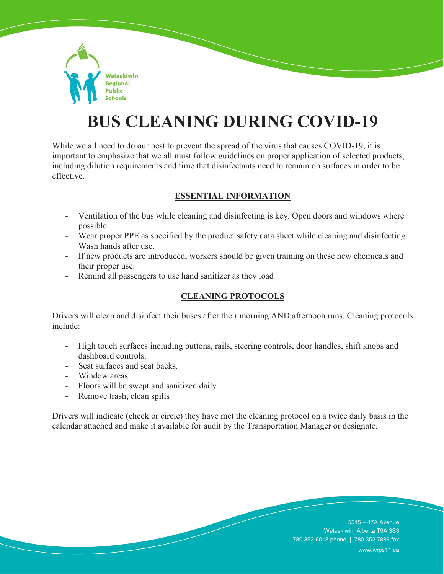

## **BUS CLEANING DURING COVID-19**

While we all need to do our best to prevent the spread of the virus that causes COVID-19, it is important to emphasize that we all must follow guidelines on proper application of selected products, including dilution requirements and time that disinfectants need to remain on surfaces in order to be effective.

## **ESSENTIAL INFORMATION**

- Ventilation of the bus while cleaning and disinfecting is key. Open doors and windows where possible
- Wear proper PPE as specified by the product safety data sheet while cleaning and disinfecting. Wash hands after use.
- If new products are introduced, workers should be given training on these new chemicals and their proper use.
- Remind all passengers to use hand sanitizer as they load

## **CLEANING PROTOCOLS**

Drivers will clean and disinfect their buses after their morning AND afternoon runs. Cleaning protocols include:

- High touch surfaces including buttons, rails, steering controls, door handles, shift knobs and dashboard controls.
- Seat surfaces and seat backs.
- Window areas
- Floors will be swept and sanitized daily
- Remove trash, clean spills

Drivers will indicate (check or circle) they have met the cleaning protocol on a twice daily basis in the calendar attached and make it available for audit by the Transportation Manager or designate.

> 5515 – 47A Avenue Wetaskiwin, Alberta T9A 3S3 780.352-6018 phone | 780.352.7886 fax www.wrps11.ca